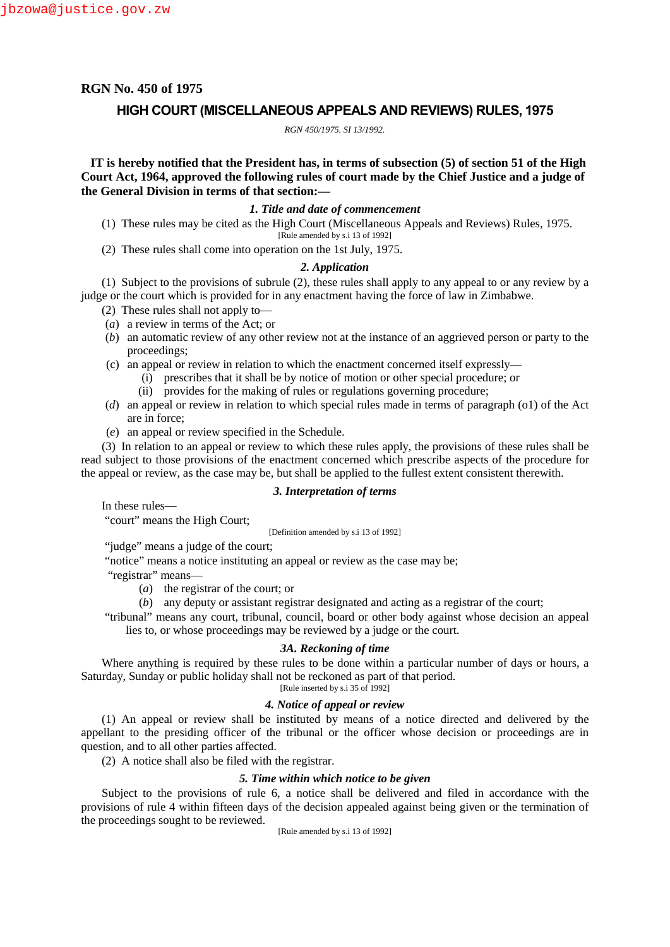# **RGN No. 450 of 1975**

# **HIGH COURT (MISCELLANEOUS APPEALS AND REVIEWS) RULES, 1975**

*RGN 450/1975. SI 13/1992.*

**IT is hereby notified that the President has, in terms of subsection (5) of section 51 of the High Court Act, 1964, approved the following rules of court made by the Chief Justice and a judge of the General Division in terms of that section:—**

# *1. Title and date of commencement*

- (1) These rules may be cited as the High Court (Miscellaneous Appeals and Reviews) Rules, 1975. [Rule amended by s.i 13 of 1992]
- (2) These rules shall come into operation on the 1st July, 1975.

## *2. Application*

(1) Subject to the provisions of subrule (2), these rules shall apply to any appeal to or any review by a judge or the court which is provided for in any enactment having the force of law in Zimbabwe.

- (2) These rules shall not apply to—
- (*a*) a review in terms of the Act; or
- (*b*) an automatic review of any other review not at the instance of an aggrieved person or party to the proceedings;
- (c) an appeal or review in relation to which the enactment concerned itself expressly—
	- (i) prescribes that it shall be by notice of motion or other special procedure; or
	- (ii) provides for the making of rules or regulations governing procedure;
- (*d*) an appeal or review in relation to which special rules made in terms of paragraph (o1) of the Act are in force;
- (*e*) an appeal or review specified in the Schedule.

(3) In relation to an appeal or review to which these rules apply, the provisions of these rules shall be read subject to those provisions of the enactment concerned which prescribe aspects of the procedure for the appeal or review, as the case may be, but shall be applied to the fullest extent consistent therewith.

## *3. Interpretation of terms*

In these rules—

"court" means the High Court;

[Definition amended by s.i 13 of 1992]

"judge" means a judge of the court;

"notice" means a notice instituting an appeal or review as the case may be;

"registrar" means—

- (*a*) the registrar of the court; or
- (*b*) any deputy or assistant registrar designated and acting as a registrar of the court;
- "tribunal" means any court, tribunal, council, board or other body against whose decision an appeal lies to, or whose proceedings may be reviewed by a judge or the court.

## *3A. Reckoning of time*

Where anything is required by these rules to be done within a particular number of days or hours, a Saturday, Sunday or public holiday shall not be reckoned as part of that period. [Rule inserted by s.i 35 of 1992]

# *4. Notice of appeal or review*

(1) An appeal or review shall be instituted by means of a notice directed and delivered by the appellant to the presiding officer of the tribunal or the officer whose decision or proceedings are in question, and to all other parties affected.

(2) A notice shall also be filed with the registrar.

# *5. Time within which notice to be given*

Subject to the provisions of rule 6, a notice shall be delivered and filed in accordance with the provisions of rule 4 within fifteen days of the decision appealed against being given or the termination of the proceedings sought to be reviewed.

[Rule amended by s.i 13 of 1992]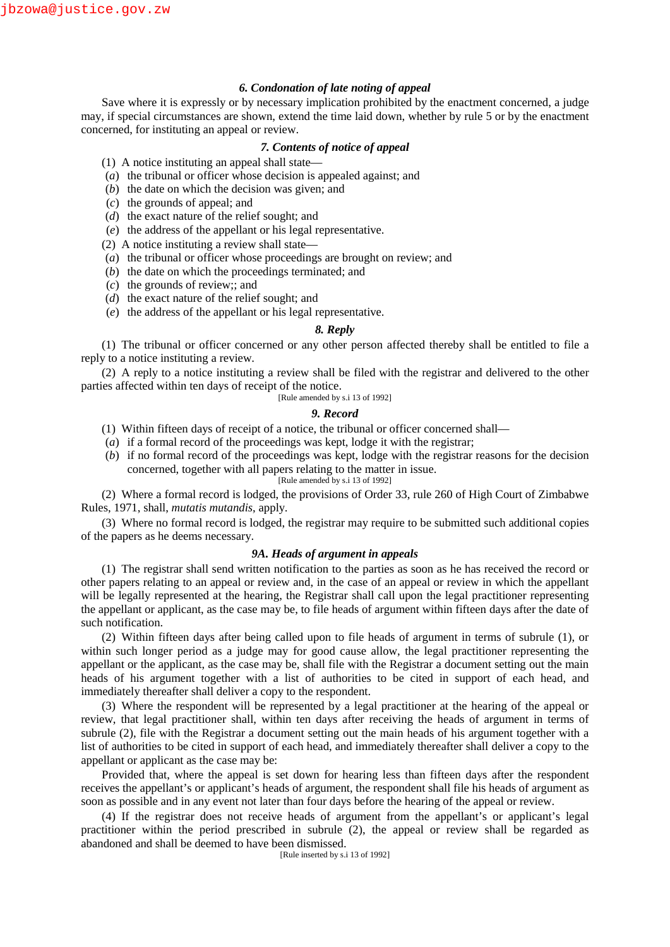## *6. Condonation of late noting of appeal*

Save where it is expressly or by necessary implication prohibited by the enactment concerned, a judge may, if special circumstances are shown, extend the time laid down, whether by rule 5 or by the enactment concerned, for instituting an appeal or review.

#### *7. Contents of notice of appeal*

(1) A notice instituting an appeal shall state—

- (*a*) the tribunal or officer whose decision is appealed against; and
- (*b*) the date on which the decision was given; and
- (*c*) the grounds of appeal; and
- (*d*) the exact nature of the relief sought; and
- (*e*) the address of the appellant or his legal representative.

(2) A notice instituting a review shall state—

- (*a*) the tribunal or officer whose proceedings are brought on review; and
- (*b*) the date on which the proceedings terminated; and
- (*c*) the grounds of review;; and
- (*d*) the exact nature of the relief sought; and
- (*e*) the address of the appellant or his legal representative.

#### *8. Reply*

(1) The tribunal or officer concerned or any other person affected thereby shall be entitled to file a reply to a notice instituting a review.

(2) A reply to a notice instituting a review shall be filed with the registrar and delivered to the other parties affected within ten days of receipt of the notice.

[Rule amended by s.i 13 of 1992]

#### *9. Record*

- (1) Within fifteen days of receipt of a notice, the tribunal or officer concerned shall—
- (*a*) if a formal record of the proceedings was kept, lodge it with the registrar;
- (*b*) if no formal record of the proceedings was kept, lodge with the registrar reasons for the decision concerned, together with all papers relating to the matter in issue.

[Rule amended by s.i 13 of 1992]

(2) Where a formal record is lodged, the provisions of Order 33, rule 260 of High Court of Zimbabwe Rules, 1971, shall, *mutatis mutandis*, apply.

(3) Where no formal record is lodged, the registrar may require to be submitted such additional copies of the papers as he deems necessary.

## *9A. Heads of argument in appeals*

(1) The registrar shall send written notification to the parties as soon as he has received the record or other papers relating to an appeal or review and, in the case of an appeal or review in which the appellant will be legally represented at the hearing, the Registrar shall call upon the legal practitioner representing the appellant or applicant, as the case may be, to file heads of argument within fifteen days after the date of such notification.

(2) Within fifteen days after being called upon to file heads of argument in terms of subrule (1), or within such longer period as a judge may for good cause allow, the legal practitioner representing the appellant or the applicant, as the case may be, shall file with the Registrar a document setting out the main heads of his argument together with a list of authorities to be cited in support of each head, and immediately thereafter shall deliver a copy to the respondent.

(3) Where the respondent will be represented by a legal practitioner at the hearing of the appeal or review, that legal practitioner shall, within ten days after receiving the heads of argument in terms of subrule (2), file with the Registrar a document setting out the main heads of his argument together with a list of authorities to be cited in support of each head, and immediately thereafter shall deliver a copy to the appellant or applicant as the case may be:

Provided that, where the appeal is set down for hearing less than fifteen days after the respondent receives the appellant's or applicant's heads of argument, the respondent shall file his heads of argument as soon as possible and in any event not later than four days before the hearing of the appeal or review.

(4) If the registrar does not receive heads of argument from the appellant's or applicant's legal practitioner within the period prescribed in subrule (2), the appeal or review shall be regarded as abandoned and shall be deemed to have been dismissed.

[Rule inserted by s.i 13 of 1992]